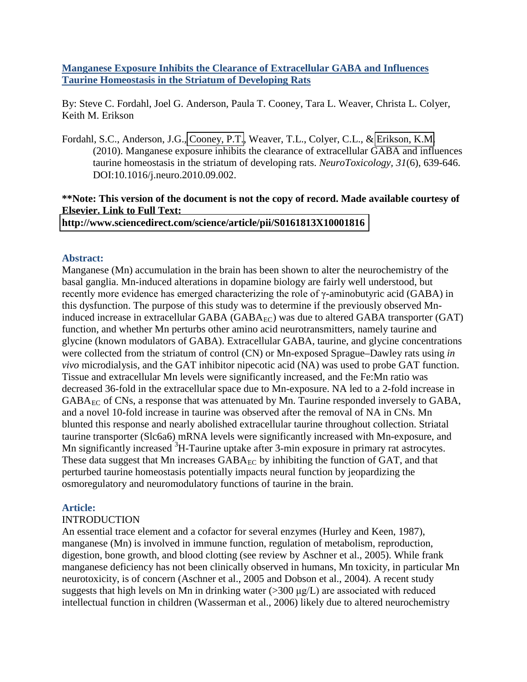# **Manganese Exposure Inhibits the Clearance of Extracellular GABA and Influences Taurine Homeostasis in the Striatum of Developing Rats**

By: Steve C. Fordahl, Joel G. Anderson, Paula T. Cooney, Tara L. Weaver, Christa L. Colyer, Keith M. Erikson

Fordahl, S.C., Anderson, J.G.[, Cooney, P.T.](libres.uncg.edu/ir/clist.aspx?id=4335), Weaver, T.L., Colyer, C.L., & [Erikson, K.M.](http://libres.uncg.edu/ir/clist.aspx?id=1296) (2010). Manganese exposure inhibits the clearance of extracellular GABA and influences taurine homeostasis in the striatum of developing rats. *NeuroToxicology, 31*(6), 639-646. DOI:10.1016/j.neuro.2010.09.002.

# **\*\*Note: This version of the document is not the copy of record. Made available courtesy of Elsevier. Link to Full Text: <http://www.sciencedirect.com/science/article/pii/S0161813X10001816>**

# **Abstract:**

Manganese (Mn) accumulation in the brain has been shown to alter the neurochemistry of the basal ganglia. Mn-induced alterations in dopamine biology are fairly well understood, but recently more evidence has emerged characterizing the role of γ-aminobutyric acid (GABA) in this dysfunction. The purpose of this study was to determine if the previously observed Mninduced increase in extracellular GABA ( $GABA_{EC}$ ) was due to altered  $GABA$  transporter ( $GAT$ ) function, and whether Mn perturbs other amino acid neurotransmitters, namely taurine and glycine (known modulators of GABA). Extracellular GABA, taurine, and glycine concentrations were collected from the striatum of control (CN) or Mn-exposed Sprague–Dawley rats using *in vivo* microdialysis, and the GAT inhibitor nipecotic acid (NA) was used to probe GAT function. Tissue and extracellular Mn levels were significantly increased, and the Fe:Mn ratio was decreased 36-fold in the extracellular space due to Mn-exposure. NA led to a 2-fold increase in GABA<sub>EC</sub> of CNs, a response that was attenuated by Mn. Taurine responded inversely to GABA, and a novel 10-fold increase in taurine was observed after the removal of NA in CNs. Mn blunted this response and nearly abolished extracellular taurine throughout collection. Striatal taurine transporter (Slc6a6) mRNA levels were significantly increased with Mn-exposure, and Mn significantly increased <sup>3</sup>H-Taurine uptake after 3-min exposure in primary rat astrocytes. These data suggest that Mn increases  $GABA_{EC}$  by inhibiting the function of GAT, and that perturbed taurine homeostasis potentially impacts neural function by jeopardizing the osmoregulatory and neuromodulatory functions of taurine in the brain.

# **Article:**

# INTRODUCTION

An essential trace element and a cofactor for several enzymes (Hurley and Keen, 1987), manganese (Mn) is involved in immune function, regulation of metabolism, reproduction, digestion, bone growth, and blood clotting (see review by Aschner et al., 2005). While frank manganese deficiency has not been clinically observed in humans, Mn toxicity, in particular Mn neurotoxicity, is of concern (Aschner et al., 2005 and Dobson et al., 2004). A recent study suggests that high levels on Mn in drinking water  $(>300 \mu g/L)$  are associated with reduced intellectual function in children (Wasserman et al., 2006) likely due to altered neurochemistry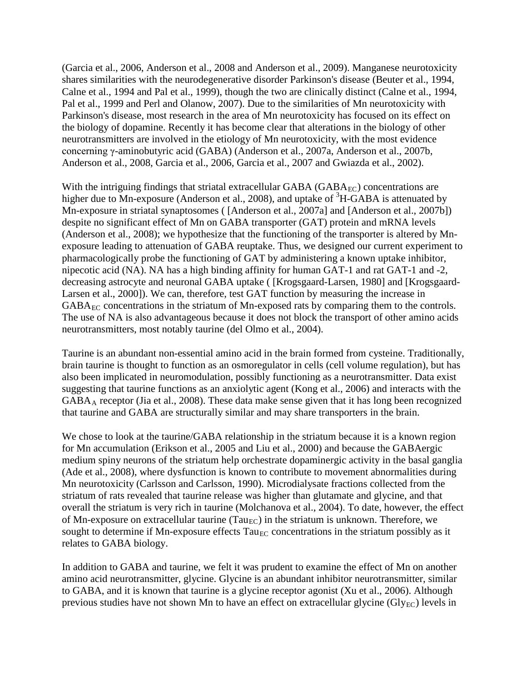(Garcia et al., 2006, Anderson et al., 2008 and Anderson et al., 2009). Manganese neurotoxicity shares similarities with the neurodegenerative disorder Parkinson's disease (Beuter et al., 1994, Calne et al., 1994 and Pal et al., 1999), though the two are clinically distinct (Calne et al., 1994, Pal et al., 1999 and Perl and Olanow, 2007). Due to the similarities of Mn neurotoxicity with Parkinson's disease, most research in the area of Mn neurotoxicity has focused on its effect on the biology of dopamine. Recently it has become clear that alterations in the biology of other neurotransmitters are involved in the etiology of Mn neurotoxicity, with the most evidence concerning γ-aminobutyric acid (GABA) (Anderson et al., 2007a, Anderson et al., 2007b, Anderson et al., 2008, Garcia et al., 2006, Garcia et al., 2007 and Gwiazda et al., 2002).

With the intriguing findings that striatal extracellular GABA ( $GABA_{EC}$ ) concentrations are higher due to Mn-exposure (Anderson et al., 2008), and uptake of <sup>3</sup>H-GABA is attenuated by Mn-exposure in striatal synaptosomes ( [Anderson et al., 2007a] and [Anderson et al., 2007b]) despite no significant effect of Mn on GABA transporter (GAT) protein and mRNA levels (Anderson et al., 2008); we hypothesize that the functioning of the transporter is altered by Mnexposure leading to attenuation of GABA reuptake. Thus, we designed our current experiment to pharmacologically probe the functioning of GAT by administering a known uptake inhibitor, nipecotic acid (NA). NA has a high binding affinity for human GAT-1 and rat GAT-1 and -2, decreasing astrocyte and neuronal GABA uptake ( [Krogsgaard-Larsen, 1980] and [Krogsgaard-Larsen et al., 2000]). We can, therefore, test GAT function by measuring the increase in  $GABA_{EC}$  concentrations in the striatum of Mn-exposed rats by comparing them to the controls. The use of NA is also advantageous because it does not block the transport of other amino acids neurotransmitters, most notably taurine (del Olmo et al., 2004).

Taurine is an abundant non-essential amino acid in the brain formed from cysteine. Traditionally, brain taurine is thought to function as an osmoregulator in cells (cell volume regulation), but has also been implicated in neuromodulation, possibly functioning as a neurotransmitter. Data exist suggesting that taurine functions as an anxiolytic agent (Kong et al., 2006) and interacts with the GABAA receptor (Jia et al., 2008). These data make sense given that it has long been recognized that taurine and GABA are structurally similar and may share transporters in the brain.

We chose to look at the taurine/GABA relationship in the striatum because it is a known region for Mn accumulation (Erikson et al., 2005 and Liu et al., 2000) and because the GABAergic medium spiny neurons of the striatum help orchestrate dopaminergic activity in the basal ganglia (Ade et al., 2008), where dysfunction is known to contribute to movement abnormalities during Mn neurotoxicity (Carlsson and Carlsson, 1990). Microdialysate fractions collected from the striatum of rats revealed that taurine release was higher than glutamate and glycine, and that overall the striatum is very rich in taurine (Molchanova et al., 2004). To date, however, the effect of Mn-exposure on extracellular taurine (Tau<sub>EC</sub>) in the striatum is unknown. Therefore, we sought to determine if Mn-exposure effects  $T_{\text{a}u_{\text{EC}}}$  concentrations in the striatum possibly as it relates to GABA biology.

In addition to GABA and taurine, we felt it was prudent to examine the effect of Mn on another amino acid neurotransmitter, glycine. Glycine is an abundant inhibitor neurotransmitter, similar to GABA, and it is known that taurine is a glycine receptor agonist (Xu et al., 2006). Although previous studies have not shown Mn to have an effect on extracellular glycine (Gly $_{EC}$ ) levels in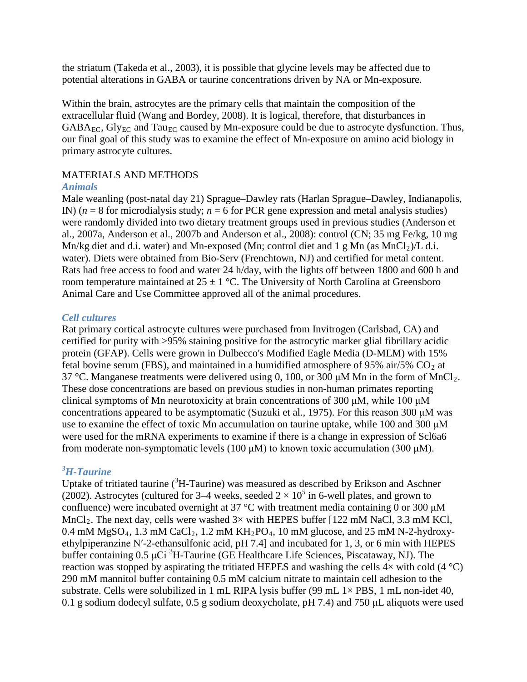the striatum (Takeda et al., 2003), it is possible that glycine levels may be affected due to potential alterations in GABA or taurine concentrations driven by NA or Mn-exposure.

Within the brain, astrocytes are the primary cells that maintain the composition of the extracellular fluid (Wang and Bordey, 2008). It is logical, therefore, that disturbances in  $GABA_{EC}$ ,  $Gly_{EC}$  and  $Tau_{EC}$  caused by Mn-exposure could be due to astrocyte dysfunction. Thus, our final goal of this study was to examine the effect of Mn-exposure on amino acid biology in primary astrocyte cultures.

# MATERIALS AND METHODS

# *Animals*

Male weanling (post-natal day 21) Sprague–Dawley rats (Harlan Sprague–Dawley, Indianapolis, IN)  $(n = 8$  for microdialysis study;  $n = 6$  for PCR gene expression and metal analysis studies) were randomly divided into two dietary treatment groups used in previous studies (Anderson et al., 2007a, Anderson et al., 2007b and Anderson et al., 2008): control (CN; 35 mg Fe/kg, 10 mg Mn/kg diet and d.i. water) and Mn-exposed (Mn; control diet and 1 g Mn (as  $MnCl<sub>2</sub>)/L$  d.i. water). Diets were obtained from Bio-Serv (Frenchtown, NJ) and certified for metal content. Rats had free access to food and water 24 h/day, with the lights off between 1800 and 600 h and room temperature maintained at  $25 \pm 1$  °C. The University of North Carolina at Greensboro Animal Care and Use Committee approved all of the animal procedures.

# *Cell cultures*

Rat primary cortical astrocyte cultures were purchased from Invitrogen (Carlsbad, CA) and certified for purity with >95% staining positive for the astrocytic marker glial fibrillary acidic protein (GFAP). Cells were grown in Dulbecco's Modified Eagle Media (D-MEM) with 15% fetal bovine serum (FBS), and maintained in a humidified atmosphere of 95% air/5%  $CO<sub>2</sub>$  at 37 °C. Manganese treatments were delivered using 0, 100, or 300  $\mu$ M Mn in the form of MnCl<sub>2</sub>. These dose concentrations are based on previous studies in non-human primates reporting clinical symptoms of Mn neurotoxicity at brain concentrations of 300 μM, while 100 μM concentrations appeared to be asymptomatic (Suzuki et al., 1975). For this reason 300 μM was use to examine the effect of toxic Mn accumulation on taurine uptake, while 100 and 300 μM were used for the mRNA experiments to examine if there is a change in expression of Scl6a6 from moderate non-symptomatic levels (100 μM) to known toxic accumulation (300 μM).

# *3 H-Taurine*

Uptake of tritiated taurine  $({}^{3}H$ -Taurine) was measured as described by Erikson and Aschner (2002). Astrocytes (cultured for 3–4 weeks, seeded  $2 \times 10^5$  in 6-well plates, and grown to confluence) were incubated overnight at 37 °C with treatment media containing 0 or 300  $\mu$ M  $MnCl<sub>2</sub>$ . The next day, cells were washed  $3\times$  with HEPES buffer [122 mM NaCl, 3.3 mM KCl,  $0.4$  mM MgSO<sub>4</sub>, 1.3 mM CaCl<sub>2</sub>, 1.2 mM KH<sub>2</sub>PO<sub>4</sub>, 10 mM glucose, and 25 mM N-2-hydroxyethylpiperanzine N′-2-ethansulfonic acid, pH 7.4] and incubated for 1, 3, or 6 min with HEPES buffer containing  $0.5 \mu$ Ci<sup>3</sup>H-Taurine (GE Healthcare Life Sciences, Piscataway, NJ). The reaction was stopped by aspirating the tritiated HEPES and washing the cells  $4\times$  with cold (4 °C) 290 mM mannitol buffer containing 0.5 mM calcium nitrate to maintain cell adhesion to the substrate. Cells were solubilized in 1 mL RIPA lysis buffer (99 mL  $1 \times PBS$ , 1 mL non-idet 40, 0.1 g sodium dodecyl sulfate, 0.5 g sodium deoxycholate, pH 7.4) and 750 μL aliquots were used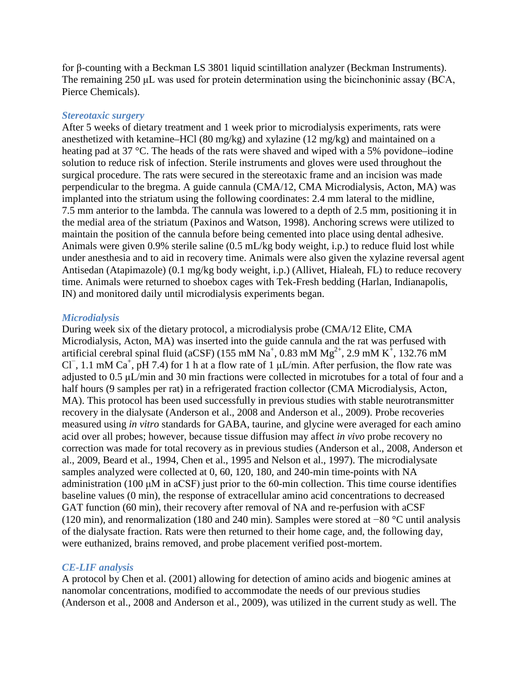for β-counting with a Beckman LS 3801 liquid scintillation analyzer (Beckman Instruments). The remaining 250 μL was used for protein determination using the bicinchoninic assay (BCA, Pierce Chemicals).

#### *Stereotaxic surgery*

After 5 weeks of dietary treatment and 1 week prior to microdialysis experiments, rats were anesthetized with ketamine–HCl (80 mg/kg) and xylazine (12 mg/kg) and maintained on a heating pad at 37 °C. The heads of the rats were shaved and wiped with a 5% povidone–iodine solution to reduce risk of infection. Sterile instruments and gloves were used throughout the surgical procedure. The rats were secured in the stereotaxic frame and an incision was made perpendicular to the bregma. A guide cannula (CMA/12, CMA Microdialysis, Acton, MA) was implanted into the striatum using the following coordinates: 2.4 mm lateral to the midline, 7.5 mm anterior to the lambda. The cannula was lowered to a depth of 2.5 mm, positioning it in the medial area of the striatum (Paxinos and Watson, 1998). Anchoring screws were utilized to maintain the position of the cannula before being cemented into place using dental adhesive. Animals were given 0.9% sterile saline (0.5 mL/kg body weight, i.p.) to reduce fluid lost while under anesthesia and to aid in recovery time. Animals were also given the xylazine reversal agent Antisedan (Atapimazole) (0.1 mg/kg body weight, i.p.) (Allivet, Hialeah, FL) to reduce recovery time. Animals were returned to shoebox cages with Tek-Fresh bedding (Harlan, Indianapolis, IN) and monitored daily until microdialysis experiments began.

#### *Microdialysis*

During week six of the dietary protocol, a microdialysis probe (CMA/12 Elite, CMA Microdialysis, Acton, MA) was inserted into the guide cannula and the rat was perfused with artificial cerebral spinal fluid (aCSF) (155 mM  $\text{Na}^+$ , 0.83 mM  $\text{Mg}^{2+}$ , 2.9 mM  $\text{K}^+$ , 132.76 mM Cl<sup>-</sup>, 1.1 mM Ca<sup>+</sup>, pH 7.4) for 1 h at a flow rate of 1  $\mu$ L/min. After perfusion, the flow rate was adjusted to 0.5 μL/min and 30 min fractions were collected in microtubes for a total of four and a half hours (9 samples per rat) in a refrigerated fraction collector (CMA Microdialysis, Acton, MA). This protocol has been used successfully in previous studies with stable neurotransmitter recovery in the dialysate (Anderson et al., 2008 and Anderson et al., 2009). Probe recoveries measured using *in vitro* standards for GABA, taurine, and glycine were averaged for each amino acid over all probes; however, because tissue diffusion may affect *in vivo* probe recovery no correction was made for total recovery as in previous studies (Anderson et al., 2008, Anderson et al., 2009, Beard et al., 1994, Chen et al., 1995 and Nelson et al., 1997). The microdialysate samples analyzed were collected at 0, 60, 120, 180, and 240-min time-points with NA administration (100 μM in aCSF) just prior to the 60-min collection. This time course identifies baseline values (0 min), the response of extracellular amino acid concentrations to decreased GAT function (60 min), their recovery after removal of NA and re-perfusion with aCSF (120 min), and renormalization (180 and 240 min). Samples were stored at −80 °C until analysis of the dialysate fraction. Rats were then returned to their home cage, and, the following day, were euthanized, brains removed, and probe placement verified post-mortem.

### *CE-LIF analysis*

A protocol by Chen et al. (2001) allowing for detection of amino acids and biogenic amines at nanomolar concentrations, modified to accommodate the needs of our previous studies (Anderson et al., 2008 and Anderson et al., 2009), was utilized in the current study as well. The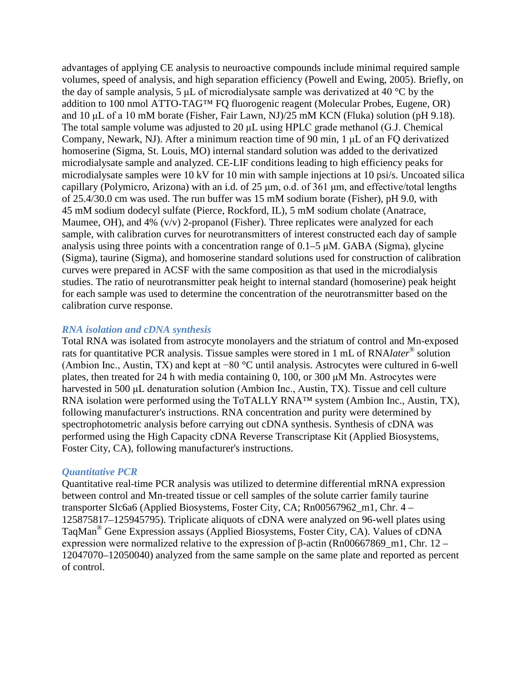advantages of applying CE analysis to neuroactive compounds include minimal required sample volumes, speed of analysis, and high separation efficiency (Powell and Ewing, 2005). Briefly, on the day of sample analysis, 5 μL of microdialysate sample was derivatized at 40 °C by the addition to 100 nmol ATTO-TAG™ FQ fluorogenic reagent (Molecular Probes, Eugene, OR) and 10 μL of a 10 mM borate (Fisher, Fair Lawn, NJ)/25 mM KCN (Fluka) solution (pH 9.18). The total sample volume was adjusted to 20 μL using HPLC grade methanol (G.J. Chemical Company, Newark, NJ). After a minimum reaction time of 90 min, 1 μL of an FQ derivatized homoserine (Sigma, St. Louis, MO) internal standard solution was added to the derivatized microdialysate sample and analyzed. CE-LIF conditions leading to high efficiency peaks for microdialysate samples were 10 kV for 10 min with sample injections at 10 psi/s. Uncoated silica capillary (Polymicro, Arizona) with an i.d. of 25 μm, o.d. of 361 μm, and effective/total lengths of 25.4/30.0 cm was used. The run buffer was 15 mM sodium borate (Fisher), pH 9.0, with 45 mM sodium dodecyl sulfate (Pierce, Rockford, IL), 5 mM sodium cholate (Anatrace, Maumee, OH), and  $4\%$  (v/v) 2-propanol (Fisher). Three replicates were analyzed for each sample, with calibration curves for neurotransmitters of interest constructed each day of sample analysis using three points with a concentration range of 0.1–5 μM. GABA (Sigma), glycine (Sigma), taurine (Sigma), and homoserine standard solutions used for construction of calibration curves were prepared in ACSF with the same composition as that used in the microdialysis studies. The ratio of neurotransmitter peak height to internal standard (homoserine) peak height for each sample was used to determine the concentration of the neurotransmitter based on the calibration curve response.

# *RNA isolation and cDNA synthesis*

Total RNA was isolated from astrocyte monolayers and the striatum of control and Mn-exposed rats for quantitative PCR analysis. Tissue samples were stored in 1 mL of RNA*later*® solution (Ambion Inc., Austin, TX) and kept at −80 °C until analysis. Astrocytes were cultured in 6-well plates, then treated for 24 h with media containing 0, 100, or 300 μM Mn. Astrocytes were harvested in 500 μL denaturation solution (Ambion Inc., Austin, TX). Tissue and cell culture RNA isolation were performed using the ToTALLY RNA™ system (Ambion Inc., Austin, TX), following manufacturer's instructions. RNA concentration and purity were determined by spectrophotometric analysis before carrying out cDNA synthesis. Synthesis of cDNA was performed using the High Capacity cDNA Reverse Transcriptase Kit (Applied Biosystems, Foster City, CA), following manufacturer's instructions.

#### *Quantitative PCR*

Quantitative real-time PCR analysis was utilized to determine differential mRNA expression between control and Mn-treated tissue or cell samples of the solute carrier family taurine transporter Slc6a6 (Applied Biosystems, Foster City, CA; Rn00567962 m1, Chr. 4 – 125875817–125945795). Triplicate aliquots of cDNA were analyzed on 96-well plates using TaqMan® Gene Expression assays (Applied Biosystems, Foster City, CA). Values of cDNA expression were normalized relative to the expression of β-actin (Rn00667869\_m1, Chr. 12 – 12047070–12050040) analyzed from the same sample on the same plate and reported as percent of control.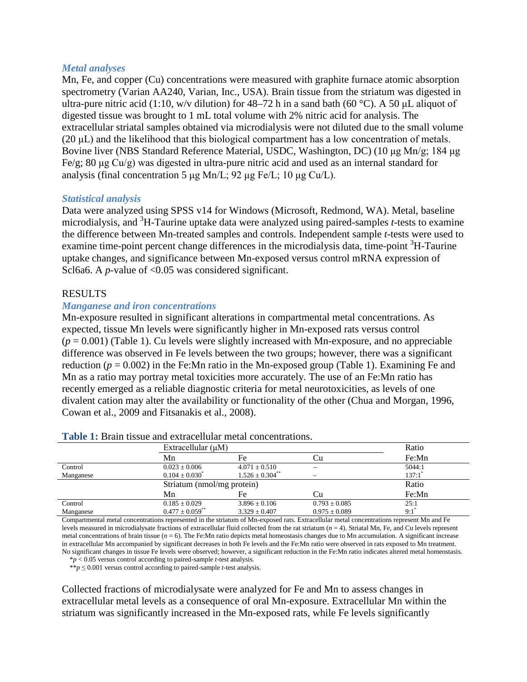# *Metal analyses*

Mn, Fe, and copper (Cu) concentrations were measured with graphite furnace atomic absorption spectrometry (Varian AA240, Varian, Inc., USA). Brain tissue from the striatum was digested in ultra-pure nitric acid (1:10, w/v dilution) for 48–72 h in a sand bath (60 °C). A 50 µL aliquot of digested tissue was brought to 1 mL total volume with 2% nitric acid for analysis. The extracellular striatal samples obtained via microdialysis were not diluted due to the small volume (20 μL) and the likelihood that this biological compartment has a low concentration of metals. Bovine liver (NBS Standard Reference Material, USDC, Washington, DC) (10 μg Mn/g; 184 μg Fe/g; 80 μg Cu/g) was digested in ultra-pure nitric acid and used as an internal standard for analysis (final concentration 5 μg Mn/L; 92 μg Fe/L; 10 μg Cu/L).

### *Statistical analysis*

Data were analyzed using SPSS v14 for Windows (Microsoft, Redmond, WA). Metal, baseline microdialysis, and <sup>3</sup>H-Taurine uptake data were analyzed using paired-samples *t*-tests to examine the difference between Mn-treated samples and controls. Independent sample *t*-tests were used to examine time-point percent change differences in the microdialysis data, time-point <sup>3</sup>H-Taurine uptake changes, and significance between Mn-exposed versus control mRNA expression of Scl6a6. A *p*-value of <0.05 was considered significant.

# RESULTS

# *Manganese and iron concentrations*

Mn-exposure resulted in significant alterations in compartmental metal concentrations. As expected, tissue Mn levels were significantly higher in Mn-exposed rats versus control  $(p = 0.001)$  (Table 1). Cu levels were slightly increased with Mn-exposure, and no appreciable difference was observed in Fe levels between the two groups; however, there was a significant reduction ( $p = 0.002$ ) in the Fe:Mn ratio in the Mn-exposed group (Table 1). Examining Fe and Mn as a ratio may portray metal toxicities more accurately. The use of an Fe:Mn ratio has recently emerged as a reliable diagnostic criteria for metal neurotoxicities, as levels of one divalent cation may alter the availability or functionality of the other (Chua and Morgan, 1996, Cowan et al., 2009 and Fitsanakis et al., 2008).

|           | Extracellular $(\mu M)$         |                                 |                          | Ratio  |
|-----------|---------------------------------|---------------------------------|--------------------------|--------|
|           | Mn                              | Fe                              | ∪u                       | Fe: Mn |
| Control   | $0.023 \pm 0.006$               | $4.071 \pm 0.510$               | $\overline{\phantom{a}}$ | 5044:1 |
| Manganese | $0.104 \pm 0.030^*$             | $1.526 \pm 0.304$ <sup>**</sup> |                          | 137:1' |
|           | Striatum (nmol/mg protein)      |                                 |                          | Ratio  |
|           | Mn                              | Fe                              | ∪u                       | Fe:Mn  |
| Control   | $0.185 \pm 0.029$               | $3.896 \pm 0.106$               | $0.793 \pm 0.085$        | 25:1   |
| Manganese | $0.477 \pm 0.059$ <sup>**</sup> | $3.329 \pm 0.407$               | $0.975 \pm 0.089$        | 9:1    |

**Table 1:** Brain tissue and extracellular metal concentrations.

Compartmental metal concentrations represented in the striatum of Mn-exposed rats. Extracellular metal concentrations represent Mn and Fe levels measured in microdialysate fractions of extracellular fluid collected from the rat striatum (*n* = 4). Striatal Mn, Fe, and Cu levels represent metal concentrations of brain tissue  $(n = 6)$ . The Fe:Mn ratio depicts metal homeostasis changes due to Mn accumulation. A significant increase in extracellular Mn accompanied by significant decreases in both Fe levels and the Fe:Mn ratio were observed in rats exposed to Mn treatment. No significant changes in tissue Fe levels were observed; however, a significant reduction in the Fe:Mn ratio indicates altered metal homeostasis.

\**p* < 0.05 versus control according to paired-sample *t*-test analysis.

\*\**p* ≤ 0.001 versus control according to paired-sample *t*-test analysis.

Collected fractions of microdialysate were analyzed for Fe and Mn to assess changes in extracellular metal levels as a consequence of oral Mn-exposure. Extracellular Mn within the striatum was significantly increased in the Mn-exposed rats, while Fe levels significantly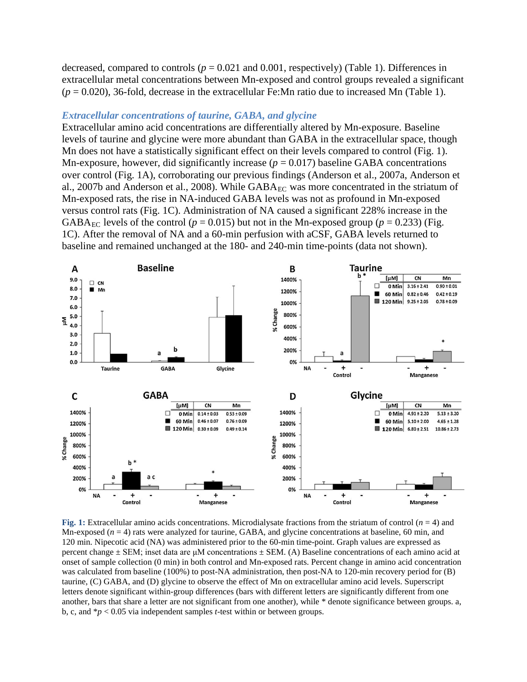decreased, compared to controls  $(p = 0.021$  and  $0.001$ , respectively) (Table 1). Differences in extracellular metal concentrations between Mn-exposed and control groups revealed a significant  $(p = 0.020)$ , 36-fold, decrease in the extracellular Fe:Mn ratio due to increased Mn (Table 1).

#### *Extracellular concentrations of taurine, GABA, and glycine*

Extracellular amino acid concentrations are differentially altered by Mn-exposure. Baseline levels of taurine and glycine were more abundant than GABA in the extracellular space, though Mn does not have a statistically significant effect on their levels compared to control (Fig. 1). Mn-exposure, however, did significantly increase  $(p = 0.017)$  baseline GABA concentrations over control (Fig. 1A), corroborating our previous findings (Anderson et al., 2007a, Anderson et al., 2007b and Anderson et al., 2008). While  $GABA_{EC}$  was more concentrated in the striatum of Mn-exposed rats, the rise in NA-induced GABA levels was not as profound in Mn-exposed versus control rats (Fig. 1C). Administration of NA caused a significant 228% increase in the GABA<sub>EC</sub> levels of the control ( $p = 0.015$ ) but not in the Mn-exposed group ( $p = 0.233$ ) (Fig. 1C). After the removal of NA and a 60-min perfusion with aCSF, GABA levels returned to baseline and remained unchanged at the 180- and 240-min time-points (data not shown).



**Fig. 1:** Extracellular amino acids concentrations. Microdialysate fractions from the striatum of control (*n* = 4) and Mn-exposed ( $n = 4$ ) rats were analyzed for taurine, GABA, and glycine concentrations at baseline, 60 min, and 120 min. Nipecotic acid (NA) was administered prior to the 60-min time-point. Graph values are expressed as percent change  $\pm$  SEM; inset data are  $\mu$ M concentrations  $\pm$  SEM. (A) Baseline concentrations of each amino acid at onset of sample collection (0 min) in both control and Mn-exposed rats. Percent change in amino acid concentration was calculated from baseline (100%) to post-NA administration, then post-NA to 120-min recovery period for (B) taurine, (C) GABA, and (D) glycine to observe the effect of Mn on extracellular amino acid levels. Superscript letters denote significant within-group differences (bars with different letters are significantly different from one another, bars that share a letter are not significant from one another), while \* denote significance between groups. a, b, c, and \**p* < 0.05 via independent samples *t*-test within or between groups.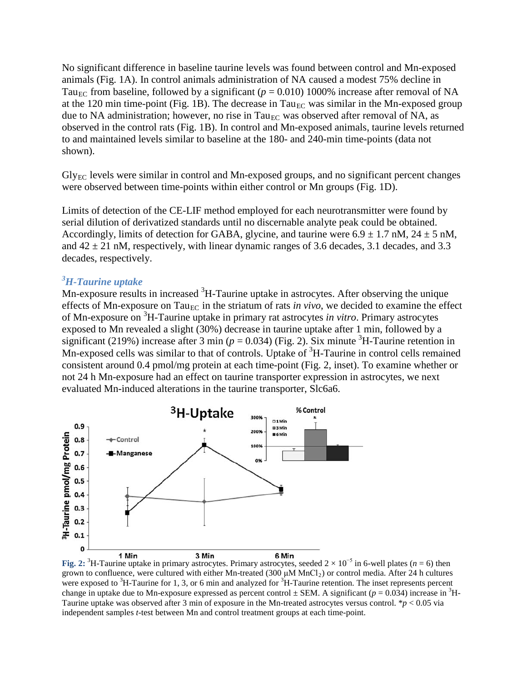No significant difference in baseline taurine levels was found between control and Mn-exposed animals (Fig. 1A). In control animals administration of NA caused a modest 75% decline in Tau<sub>EC</sub> from baseline, followed by a significant ( $p = 0.010$ ) 1000% increase after removal of NA at the 120 min time-point (Fig. 1B). The decrease in Tau<sub>EC</sub> was similar in the Mn-exposed group due to NA administration; however, no rise in Tau<sub>EC</sub> was observed after removal of NA, as observed in the control rats (Fig. 1B). In control and Mn-exposed animals, taurine levels returned to and maintained levels similar to baseline at the 180- and 240-min time-points (data not shown).

 $Gly_{EC}$  levels were similar in control and Mn-exposed groups, and no significant percent changes were observed between time-points within either control or Mn groups (Fig. 1D).

Limits of detection of the CE-LIF method employed for each neurotransmitter were found by serial dilution of derivatized standards until no discernable analyte peak could be obtained. Accordingly, limits of detection for GABA, glycine, and taurine were  $6.9 \pm 1.7$  nM,  $24 \pm 5$  nM, and  $42 \pm 21$  nM, respectively, with linear dynamic ranges of 3.6 decades, 3.1 decades, and 3.3 decades, respectively.

# *3 H-Taurine uptake*

Mn-exposure results in increased <sup>3</sup>H-Taurine uptake in astrocytes. After observing the unique effects of Mn-exposure on Tau<sub>EC</sub> in the striatum of rats *in vivo*, we decided to examine the effect of Mn-exposure on 3 H-Taurine uptake in primary rat astrocytes *in vitro*. Primary astrocytes exposed to Mn revealed a slight (30%) decrease in taurine uptake after 1 min, followed by a significant (219%) increase after 3 min ( $p = 0.034$ ) (Fig. 2). Six minute <sup>3</sup>H-Taurine retention in Mn-exposed cells was similar to that of controls. Uptake of <sup>3</sup>H-Taurine in control cells remained consistent around 0.4 pmol/mg protein at each time-point (Fig. 2, inset). To examine whether or not 24 h Mn-exposure had an effect on taurine transporter expression in astrocytes, we next evaluated Mn-induced alterations in the taurine transporter, Slc6a6.



**Fig. 2:** <sup>3</sup>H-Taurine uptake in primary astrocytes. Primary astrocytes, seeded  $2 \times 10^{-5}$  in 6-well plates (*n* = 6) then grown to confluence, were cultured with either Mn-treated (300  $\mu$ M MnCl<sub>2</sub>) or control media. After 24 h cultures were exposed to  ${}^{3}$ H-Taurine for 1, 3, or 6 min and analyzed for  ${}^{3}$ H-Taurine retention. The inset represents percent change in uptake due to Mn-exposure expressed as percent control  $\pm$  SEM. A significant ( $p = 0.034$ ) increase in <sup>3</sup>H-Taurine uptake was observed after 3 min of exposure in the Mn-treated astrocytes versus control. \**p* < 0.05 via independent samples *t*-test between Mn and control treatment groups at each time-point.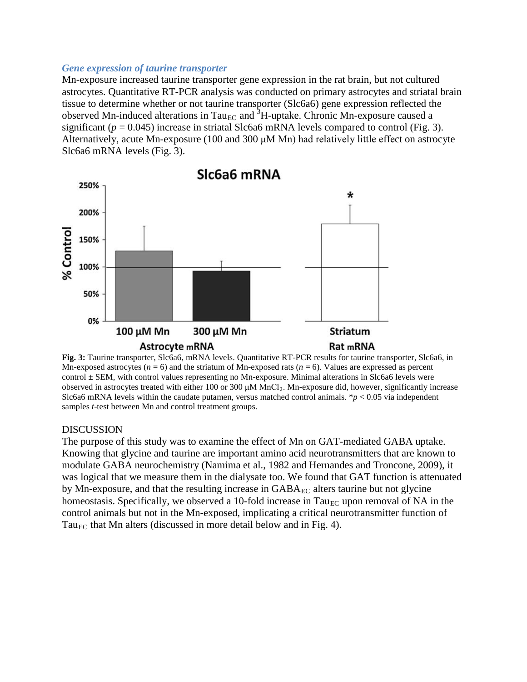#### *Gene expression of taurine transporter*

Mn-exposure increased taurine transporter gene expression in the rat brain, but not cultured astrocytes. Quantitative RT-PCR analysis was conducted on primary astrocytes and striatal brain tissue to determine whether or not taurine transporter (Slc6a6) gene expression reflected the observed Mn-induced alterations in Tau<sub>EC</sub> and <sup>3</sup>H-uptake. Chronic Mn-exposure caused a significant ( $p = 0.045$ ) increase in striatal Slc6a6 mRNA levels compared to control (Fig. 3). Alternatively, acute Mn-exposure (100 and 300 μM Mn) had relatively little effect on astrocyte Slc6a6 mRNA levels (Fig. 3).



**Fig. 3:** Taurine transporter, Slc6a6, mRNA levels. Quantitative RT-PCR results for taurine transporter, Slc6a6, in Mn-exposed astrocytes (*n* = 6) and the striatum of Mn-exposed rats (*n* = 6). Values are expressed as percent control  $\pm$  SEM, with control values representing no Mn-exposure. Minimal alterations in Slc6a6 levels were observed in astrocytes treated with either 100 or 300 μM MnCl2. Mn-exposure did, however, significantly increase Slc6a6 mRNA levels within the caudate putamen, versus matched control animals.  $\dot{p}$  < 0.05 via independent samples *t*-test between Mn and control treatment groups.

#### DISCUSSION

The purpose of this study was to examine the effect of Mn on GAT-mediated GABA uptake. Knowing that glycine and taurine are important amino acid neurotransmitters that are known to modulate GABA neurochemistry (Namima et al., 1982 and Hernandes and Troncone, 2009), it was logical that we measure them in the dialysate too. We found that GAT function is attenuated by Mn-exposure, and that the resulting increase in  $GABA_{EC}$  alters taurine but not glycine homeostasis. Specifically, we observed a 10-fold increase in  $Tau_{EC}$  upon removal of NA in the control animals but not in the Mn-exposed, implicating a critical neurotransmitter function of Tau<sub>EC</sub> that Mn alters (discussed in more detail below and in Fig. 4).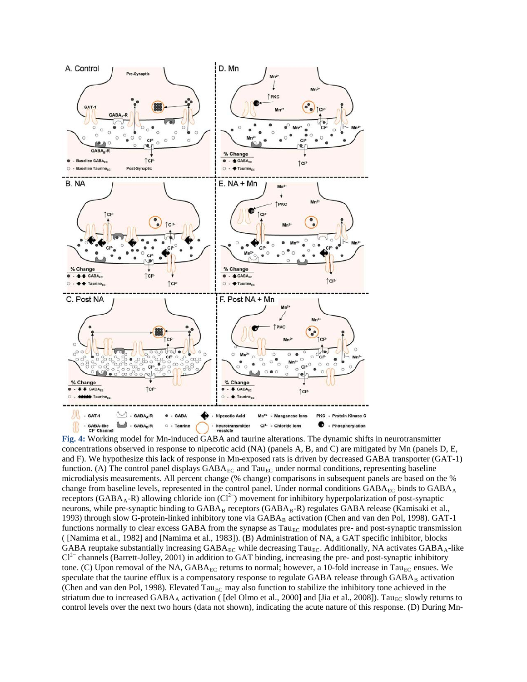

**Fig. 4:** Working model for Mn-induced GABA and taurine alterations. The dynamic shifts in neurotransmitter concentrations observed in response to nipecotic acid (NA) (panels A, B, and C) are mitigated by Mn (panels D, E, and F). We hypothesize this lack of response in Mn-exposed rats is driven by decreased GABA transporter (GAT-1) function. (A) The control panel displays  $GABA_{EC}$  and  $Tau_{EC}$  under normal conditions, representing baseline microdialysis measurements. All percent change (% change) comparisons in subsequent panels are based on the % change from baseline levels, represented in the control panel. Under normal conditions  $GABA_{EC}$  binds to  $GABA_A$ receptors (GABA<sub>A</sub>-R) allowing chloride ion ( $Cl<sup>2−</sup>$ ) movement for inhibitory hyperpolarization of post-synaptic neurons, while pre-synaptic binding to  $GABA_B$  receptors  $(GABA_B-R)$  regulates  $GABA$  release (Kamisaki et al., 1993) through slow G-protein-linked inhibitory tone via  $GABA_B$  activation (Chen and van den Pol, 1998).  $GAT-1$ functions normally to clear excess GABA from the synapse as  $T_{\text{a}}$  modulates pre- and post-synaptic transmission ( [Namima et al., 1982] and [Namima et al., 1983]). (B) Administration of NA, a GAT specific inhibitor, blocks GABA reuptake substantially increasing  $GABA_{EC}$  while decreasing Tau<sub>EC</sub>. Additionally, NA activates  $GABA_A$ -like  $Cl<sup>2−</sup>$  channels (Barrett-Jolley, 2001) in addition to GAT binding, increasing the pre- and post-synaptic inhibitory tone. (C) Upon removal of the NA,  $GABA_{EC}$  returns to normal; however, a 10-fold increase in Tau<sub>EC</sub> ensues. We speculate that the taurine efflux is a compensatory response to regulate GABA release through GABAB activation (Chen and van den Pol, 1998). Elevated Tau<sub>EC</sub> may also function to stabilize the inhibitory tone achieved in the striatum due to increased GABA<sub>A</sub> activation ( [del Olmo et al., 2000] and [Jia et al., 2008]). Tau<sub>EC</sub> slowly returns to control levels over the next two hours (data not shown), indicating the acute nature of this response. (D) During Mn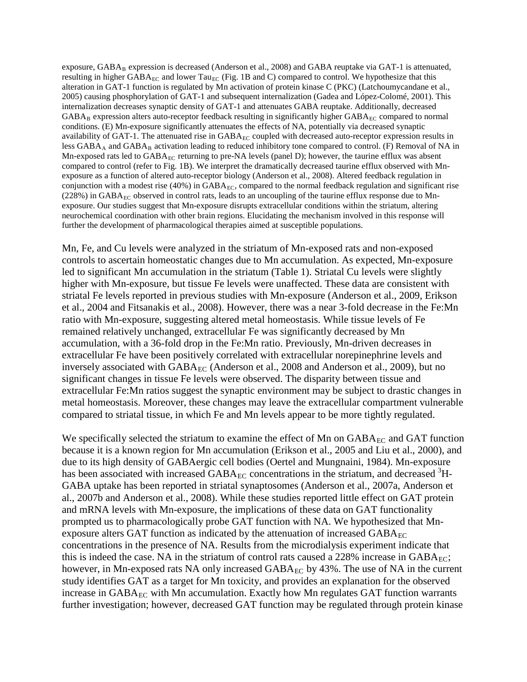exposure, GABA<sub>B</sub> expression is decreased (Anderson et al., 2008) and GABA reuptake via GAT-1 is attenuated, resulting in higher GABA<sub>EC</sub> and lower Tau<sub>EC</sub> (Fig. 1B and C) compared to control. We hypothesize that this alteration in GAT-1 function is regulated by Mn activation of protein kinase C (PKC) (Latchoumycandane et al., 2005) causing phosphorylation of GAT-1 and subsequent internalization (Gadea and López-Colomé, 2001). This internalization decreases synaptic density of GAT-1 and attenuates GABA reuptake. Additionally, decreased  $GABA_B$  expression alters auto-receptor feedback resulting in significantly higher  $GABA_{EC}$  compared to normal conditions. (E) Mn-exposure significantly attenuates the effects of NA, potentially via decreased synaptic availability of GAT-1. The attenuated rise in  $GABA_{EC}$  coupled with decreased auto-receptor expression results in less  $GABA_A$  and  $GABA_B$  activation leading to reduced inhibitory tone compared to control. (F) Removal of NA in Mn-exposed rats led to GABA<sub>EC</sub> returning to pre-NA levels (panel D); however, the taurine efflux was absent compared to control (refer to Fig. 1B). We interpret the dramatically decreased taurine efflux observed with Mnexposure as a function of altered auto-receptor biology (Anderson et al., 2008). Altered feedback regulation in conjunction with a modest rise (40%) in  $GABA_{FC}$ , compared to the normal feedback regulation and significant rise  $(228%)$  in GABA<sub>EC</sub> observed in control rats, leads to an uncoupling of the taurine efflux response due to Mnexposure. Our studies suggest that Mn-exposure disrupts extracellular conditions within the striatum, altering neurochemical coordination with other brain regions. Elucidating the mechanism involved in this response will further the development of pharmacological therapies aimed at susceptible populations.

Mn, Fe, and Cu levels were analyzed in the striatum of Mn-exposed rats and non-exposed controls to ascertain homeostatic changes due to Mn accumulation. As expected, Mn-exposure led to significant Mn accumulation in the striatum (Table 1). Striatal Cu levels were slightly higher with Mn-exposure, but tissue Fe levels were unaffected. These data are consistent with striatal Fe levels reported in previous studies with Mn-exposure (Anderson et al., 2009, Erikson et al., 2004 and Fitsanakis et al., 2008). However, there was a near 3-fold decrease in the Fe:Mn ratio with Mn-exposure, suggesting altered metal homeostasis. While tissue levels of Fe remained relatively unchanged, extracellular Fe was significantly decreased by Mn accumulation, with a 36-fold drop in the Fe:Mn ratio. Previously, Mn-driven decreases in extracellular Fe have been positively correlated with extracellular norepinephrine levels and inversely associated with  $GABA_{EC}$  (Anderson et al., 2008 and Anderson et al., 2009), but no significant changes in tissue Fe levels were observed. The disparity between tissue and extracellular Fe:Mn ratios suggest the synaptic environment may be subject to drastic changes in metal homeostasis. Moreover, these changes may leave the extracellular compartment vulnerable compared to striatal tissue, in which Fe and Mn levels appear to be more tightly regulated.

We specifically selected the striatum to examine the effect of Mn on  $GABA_{EC}$  and  $GAT$  function because it is a known region for Mn accumulation (Erikson et al., 2005 and Liu et al., 2000), and due to its high density of GABAergic cell bodies (Oertel and Mungnaini, 1984). Mn-exposure has been associated with increased  $\text{GABA}_{\text{EC}}$  concentrations in the striatum, and decreased  ${}^{3}\text{H}$ -GABA uptake has been reported in striatal synaptosomes (Anderson et al., 2007a, Anderson et al., 2007b and Anderson et al., 2008). While these studies reported little effect on GAT protein and mRNA levels with Mn-exposure, the implications of these data on GAT functionality prompted us to pharmacologically probe GAT function with NA. We hypothesized that Mnexposure alters GAT function as indicated by the attenuation of increased  $GABA_{EC}$ concentrations in the presence of NA. Results from the microdialysis experiment indicate that this is indeed the case. NA in the striatum of control rats caused a  $228\%$  increase in  $GABA_{EC}$ ; however, in Mn-exposed rats NA only increased  $GABA_{EC}$  by 43%. The use of NA in the current study identifies GAT as a target for Mn toxicity, and provides an explanation for the observed increase in  $GABA_{EC}$  with Mn accumulation. Exactly how Mn regulates  $GAT$  function warrants further investigation; however, decreased GAT function may be regulated through protein kinase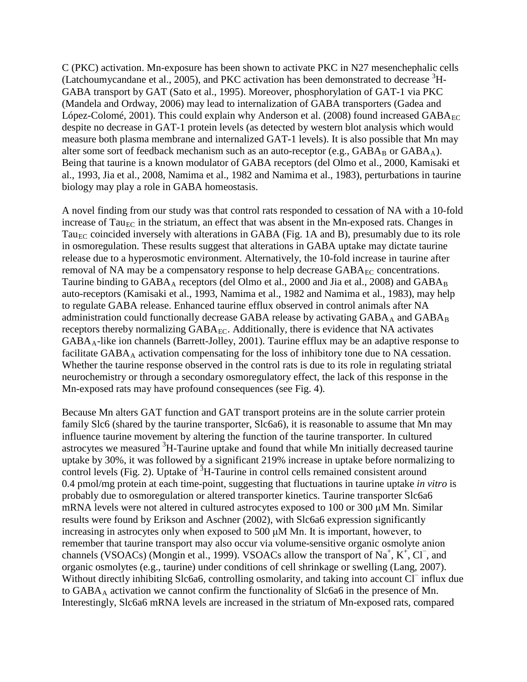C (PKC) activation. Mn-exposure has been shown to activate PKC in N27 mesenchephalic cells (Latchoumycandane et al., 2005), and PKC activation has been demonstrated to decrease  ${}^{3}H$ -GABA transport by GAT (Sato et al., 1995). Moreover, phosphorylation of GAT-1 via PKC (Mandela and Ordway, 2006) may lead to internalization of GABA transporters (Gadea and López-Colomé, 2001). This could explain why Anderson et al. (2008) found increased  $GABA_{EC}$ despite no decrease in GAT-1 protein levels (as detected by western blot analysis which would measure both plasma membrane and internalized GAT-1 levels). It is also possible that Mn may alter some sort of feedback mechanism such as an auto-receptor (e.g.,  $GABA_B$  or  $GABA_A$ ). Being that taurine is a known modulator of GABA receptors (del Olmo et al., 2000, Kamisaki et al., 1993, Jia et al., 2008, Namima et al., 1982 and Namima et al., 1983), perturbations in taurine biology may play a role in GABA homeostasis.

A novel finding from our study was that control rats responded to cessation of NA with a 10-fold increase of Tau<sub>EC</sub> in the striatum, an effect that was absent in the Mn-exposed rats. Changes in Tau<sub>EC</sub> coincided inversely with alterations in GABA (Fig. 1A and B), presumably due to its role in osmoregulation. These results suggest that alterations in GABA uptake may dictate taurine release due to a hyperosmotic environment. Alternatively, the 10-fold increase in taurine after removal of NA may be a compensatory response to help decrease  $GABA_{EC}$  concentrations. Taurine binding to GABA<sub>A</sub> receptors (del Olmo et al., 2000 and Jia et al., 2008) and GABA<sub>B</sub> auto-receptors (Kamisaki et al., 1993, Namima et al., 1982 and Namima et al., 1983), may help to regulate GABA release. Enhanced taurine efflux observed in control animals after NA administration could functionally decrease GABA release by activating  $GABA_A$  and  $GABA_B$ receptors thereby normalizing  $GABA_{EC}$ . Additionally, there is evidence that NA activates GABAA-like ion channels (Barrett-Jolley, 2001). Taurine efflux may be an adaptive response to facilitate  $GABA_A$  activation compensating for the loss of inhibitory tone due to NA cessation. Whether the taurine response observed in the control rats is due to its role in regulating striatal neurochemistry or through a secondary osmoregulatory effect, the lack of this response in the Mn-exposed rats may have profound consequences (see Fig. 4).

Because Mn alters GAT function and GAT transport proteins are in the solute carrier protein family Slc6 (shared by the taurine transporter, Slc6a6), it is reasonable to assume that Mn may influence taurine movement by altering the function of the taurine transporter. In cultured astrocytes we measured <sup>3</sup>H-Taurine uptake and found that while Mn initially decreased taurine uptake by 30%, it was followed by a significant 219% increase in uptake before normalizing to control levels (Fig. 2). Uptake of  ${}^{3}H$ -Taurine in control cells remained consistent around 0.4 pmol/mg protein at each time-point, suggesting that fluctuations in taurine uptake *in vitro* is probably due to osmoregulation or altered transporter kinetics. Taurine transporter Slc6a6 mRNA levels were not altered in cultured astrocytes exposed to 100 or 300 μM Mn. Similar results were found by Erikson and Aschner (2002), with Slc6a6 expression significantly increasing in astrocytes only when exposed to 500 μM Mn. It is important, however, to remember that taurine transport may also occur via volume-sensitive organic osmolyte anion channels (VSOACs) (Mongin et al., 1999). VSOACs allow the transport of Na<sup>+</sup>, K<sup>+</sup>, Cl<sup>-</sup>, and organic osmolytes (e.g., taurine) under conditions of cell shrinkage or swelling (Lang, 2007). Without directly inhibiting Slc6a6, controlling osmolarity, and taking into account Cl<sup>−</sup> influx due to  $GABA_A$  activation we cannot confirm the functionality of  $Slc6a6$  in the presence of Mn. Interestingly, Slc6a6 mRNA levels are increased in the striatum of Mn-exposed rats, compared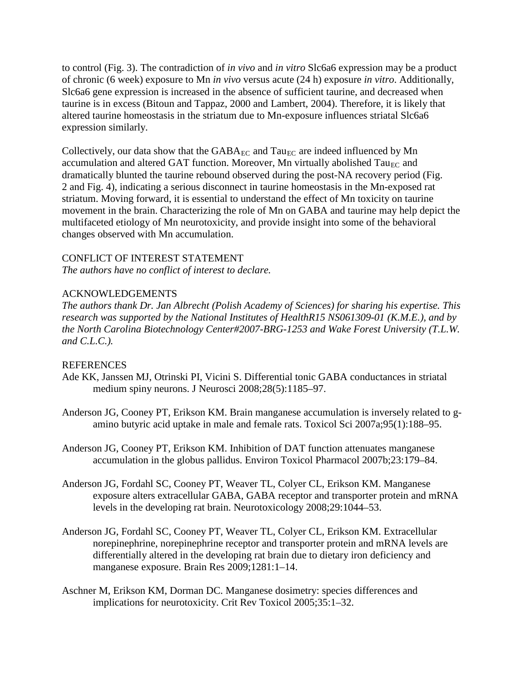to control (Fig. 3). The contradiction of *in vivo* and *in vitro* Slc6a6 expression may be a product of chronic (6 week) exposure to Mn *in vivo* versus acute (24 h) exposure *in vitro*. Additionally, Slc6a6 gene expression is increased in the absence of sufficient taurine, and decreased when taurine is in excess (Bitoun and Tappaz, 2000 and Lambert, 2004). Therefore, it is likely that altered taurine homeostasis in the striatum due to Mn-exposure influences striatal Slc6a6 expression similarly.

Collectively, our data show that the  $GABA_{EC}$  and  $Tau_{EC}$  are indeed influenced by Mn accumulation and altered GAT function. Moreover, Mn virtually abolished  $Ta_{\text{EC}}$  and dramatically blunted the taurine rebound observed during the post-NA recovery period (Fig. 2 and Fig. 4), indicating a serious disconnect in taurine homeostasis in the Mn-exposed rat striatum. Moving forward, it is essential to understand the effect of Mn toxicity on taurine movement in the brain. Characterizing the role of Mn on GABA and taurine may help depict the multifaceted etiology of Mn neurotoxicity, and provide insight into some of the behavioral changes observed with Mn accumulation.

# CONFLICT OF INTEREST STATEMENT

*The authors have no conflict of interest to declare.*

# ACKNOWLEDGEMENTS

*The authors thank Dr. Jan Albrecht (Polish Academy of Sciences) for sharing his expertise. This research was supported by the National Institutes of HealthR15 NS061309-01 (K.M.E.), and by the North Carolina Biotechnology Center#2007-BRG-1253 and Wake Forest University (T.L.W. and C.L.C.).*

# REFERENCES

- Ade KK, Janssen MJ, Otrinski PI, Vicini S. Differential tonic GABA conductances in striatal medium spiny neurons. J Neurosci 2008;28(5):1185–97.
- Anderson JG, Cooney PT, Erikson KM. Brain manganese accumulation is inversely related to gamino butyric acid uptake in male and female rats. Toxicol Sci 2007a;95(1):188–95.
- Anderson JG, Cooney PT, Erikson KM. Inhibition of DAT function attenuates manganese accumulation in the globus pallidus. Environ Toxicol Pharmacol 2007b;23:179–84.
- Anderson JG, Fordahl SC, Cooney PT, Weaver TL, Colyer CL, Erikson KM. Manganese exposure alters extracellular GABA, GABA receptor and transporter protein and mRNA levels in the developing rat brain. Neurotoxicology 2008;29:1044–53.
- Anderson JG, Fordahl SC, Cooney PT, Weaver TL, Colyer CL, Erikson KM. Extracellular norepinephrine, norepinephrine receptor and transporter protein and mRNA levels are differentially altered in the developing rat brain due to dietary iron deficiency and manganese exposure. Brain Res 2009;1281:1–14.
- Aschner M, Erikson KM, Dorman DC. Manganese dosimetry: species differences and implications for neurotoxicity. Crit Rev Toxicol 2005;35:1–32.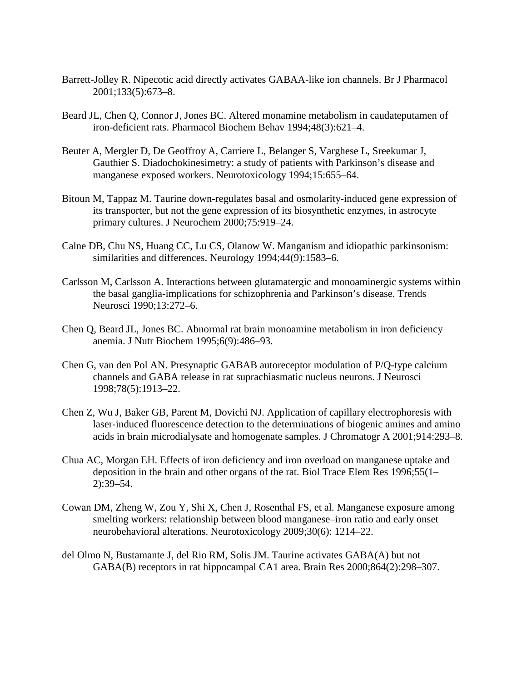- Barrett-Jolley R. Nipecotic acid directly activates GABAA-like ion channels. Br J Pharmacol 2001;133(5):673–8.
- Beard JL, Chen Q, Connor J, Jones BC. Altered monamine metabolism in caudateputamen of iron-deficient rats. Pharmacol Biochem Behav 1994;48(3):621–4.
- Beuter A, Mergler D, De Geoffroy A, Carriere L, Belanger S, Varghese L, Sreekumar J, Gauthier S. Diadochokinesimetry: a study of patients with Parkinson's disease and manganese exposed workers. Neurotoxicology 1994;15:655–64.
- Bitoun M, Tappaz M. Taurine down-regulates basal and osmolarity-induced gene expression of its transporter, but not the gene expression of its biosynthetic enzymes, in astrocyte primary cultures. J Neurochem 2000;75:919–24.
- Calne DB, Chu NS, Huang CC, Lu CS, Olanow W. Manganism and idiopathic parkinsonism: similarities and differences. Neurology 1994;44(9):1583–6.
- Carlsson M, Carlsson A. Interactions between glutamatergic and monoaminergic systems within the basal ganglia-implications for schizophrenia and Parkinson's disease. Trends Neurosci 1990;13:272–6.
- Chen Q, Beard JL, Jones BC. Abnormal rat brain monoamine metabolism in iron deficiency anemia. J Nutr Biochem 1995;6(9):486–93.
- Chen G, van den Pol AN. Presynaptic GABAB autoreceptor modulation of P/Q-type calcium channels and GABA release in rat suprachiasmatic nucleus neurons. J Neurosci 1998;78(5):1913–22.
- Chen Z, Wu J, Baker GB, Parent M, Dovichi NJ. Application of capillary electrophoresis with laser-induced fluorescence detection to the determinations of biogenic amines and amino acids in brain microdialysate and homogenate samples. J Chromatogr A 2001;914:293–8.
- Chua AC, Morgan EH. Effects of iron deficiency and iron overload on manganese uptake and deposition in the brain and other organs of the rat. Biol Trace Elem Res 1996;55(1– 2):39–54.
- Cowan DM, Zheng W, Zou Y, Shi X, Chen J, Rosenthal FS, et al. Manganese exposure among smelting workers: relationship between blood manganese–iron ratio and early onset neurobehavioral alterations. Neurotoxicology 2009;30(6): 1214–22.
- del Olmo N, Bustamante J, del Rio RM, Solis JM. Taurine activates GABA(A) but not GABA(B) receptors in rat hippocampal CA1 area. Brain Res 2000;864(2):298–307.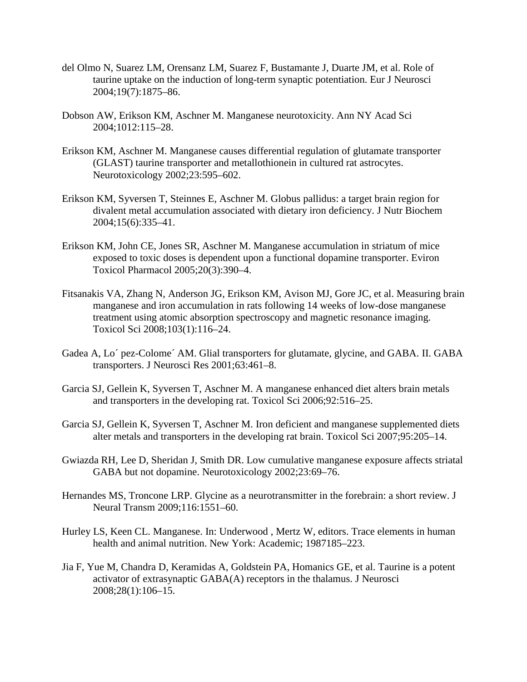- del Olmo N, Suarez LM, Orensanz LM, Suarez F, Bustamante J, Duarte JM, et al. Role of taurine uptake on the induction of long-term synaptic potentiation. Eur J Neurosci 2004;19(7):1875–86.
- Dobson AW, Erikson KM, Aschner M. Manganese neurotoxicity. Ann NY Acad Sci 2004;1012:115–28.
- Erikson KM, Aschner M. Manganese causes differential regulation of glutamate transporter (GLAST) taurine transporter and metallothionein in cultured rat astrocytes. Neurotoxicology 2002;23:595–602.
- Erikson KM, Syversen T, Steinnes E, Aschner M. Globus pallidus: a target brain region for divalent metal accumulation associated with dietary iron deficiency. J Nutr Biochem 2004;15(6):335–41.
- Erikson KM, John CE, Jones SR, Aschner M. Manganese accumulation in striatum of mice exposed to toxic doses is dependent upon a functional dopamine transporter. Eviron Toxicol Pharmacol 2005;20(3):390–4.
- Fitsanakis VA, Zhang N, Anderson JG, Erikson KM, Avison MJ, Gore JC, et al. Measuring brain manganese and iron accumulation in rats following 14 weeks of low-dose manganese treatment using atomic absorption spectroscopy and magnetic resonance imaging. Toxicol Sci 2008;103(1):116–24.
- Gadea A, Lo´ pez-Colome´ AM. Glial transporters for glutamate, glycine, and GABA. II. GABA transporters. J Neurosci Res 2001;63:461–8.
- Garcia SJ, Gellein K, Syversen T, Aschner M. A manganese enhanced diet alters brain metals and transporters in the developing rat. Toxicol Sci 2006;92:516–25.
- Garcia SJ, Gellein K, Syversen T, Aschner M. Iron deficient and manganese supplemented diets alter metals and transporters in the developing rat brain. Toxicol Sci 2007;95:205–14.
- Gwiazda RH, Lee D, Sheridan J, Smith DR. Low cumulative manganese exposure affects striatal GABA but not dopamine. Neurotoxicology 2002;23:69–76.
- Hernandes MS, Troncone LRP. Glycine as a neurotransmitter in the forebrain: a short review. J Neural Transm 2009;116:1551–60.
- Hurley LS, Keen CL. Manganese. In: Underwood , Mertz W, editors. Trace elements in human health and animal nutrition. New York: Academic; 1987185–223.
- Jia F, Yue M, Chandra D, Keramidas A, Goldstein PA, Homanics GE, et al. Taurine is a potent activator of extrasynaptic GABA(A) receptors in the thalamus. J Neurosci 2008;28(1):106–15.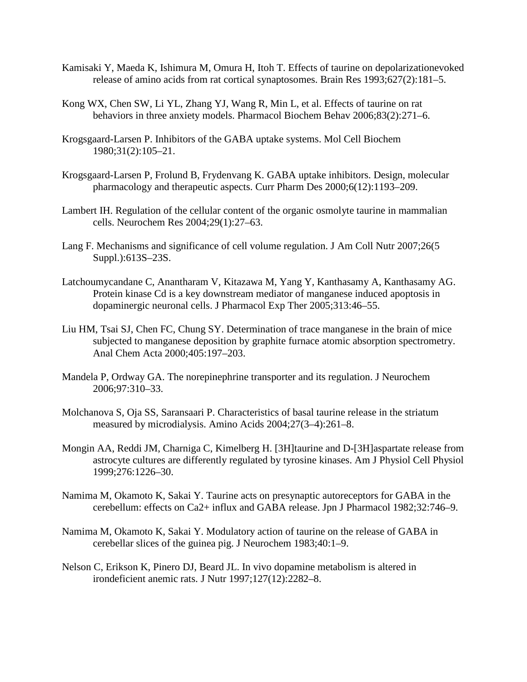- Kamisaki Y, Maeda K, Ishimura M, Omura H, Itoh T. Effects of taurine on depolarizationevoked release of amino acids from rat cortical synaptosomes. Brain Res 1993;627(2):181–5.
- Kong WX, Chen SW, Li YL, Zhang YJ, Wang R, Min L, et al. Effects of taurine on rat behaviors in three anxiety models. Pharmacol Biochem Behav 2006;83(2):271–6.
- Krogsgaard-Larsen P. Inhibitors of the GABA uptake systems. Mol Cell Biochem 1980;31(2):105–21.
- Krogsgaard-Larsen P, Frolund B, Frydenvang K. GABA uptake inhibitors. Design, molecular pharmacology and therapeutic aspects. Curr Pharm Des 2000;6(12):1193–209.
- Lambert IH. Regulation of the cellular content of the organic osmolyte taurine in mammalian cells. Neurochem Res 2004;29(1):27–63.
- Lang F. Mechanisms and significance of cell volume regulation. J Am Coll Nutr 2007;26(5 Suppl.):613S–23S.
- Latchoumycandane C, Anantharam V, Kitazawa M, Yang Y, Kanthasamy A, Kanthasamy AG. Protein kinase Cd is a key downstream mediator of manganese induced apoptosis in dopaminergic neuronal cells. J Pharmacol Exp Ther 2005;313:46–55.
- Liu HM, Tsai SJ, Chen FC, Chung SY. Determination of trace manganese in the brain of mice subjected to manganese deposition by graphite furnace atomic absorption spectrometry. Anal Chem Acta 2000;405:197–203.
- Mandela P, Ordway GA. The norepinephrine transporter and its regulation. J Neurochem 2006;97:310–33.
- Molchanova S, Oja SS, Saransaari P. Characteristics of basal taurine release in the striatum measured by microdialysis. Amino Acids 2004;27(3–4):261–8.
- Mongin AA, Reddi JM, Charniga C, Kimelberg H. [3H]taurine and D-[3H]aspartate release from astrocyte cultures are differently regulated by tyrosine kinases. Am J Physiol Cell Physiol 1999;276:1226–30.
- Namima M, Okamoto K, Sakai Y. Taurine acts on presynaptic autoreceptors for GABA in the cerebellum: effects on Ca2+ influx and GABA release. Jpn J Pharmacol 1982;32:746–9.
- Namima M, Okamoto K, Sakai Y. Modulatory action of taurine on the release of GABA in cerebellar slices of the guinea pig. J Neurochem 1983;40:1–9.
- Nelson C, Erikson K, Pinero DJ, Beard JL. In vivo dopamine metabolism is altered in irondeficient anemic rats. J Nutr 1997;127(12):2282–8.